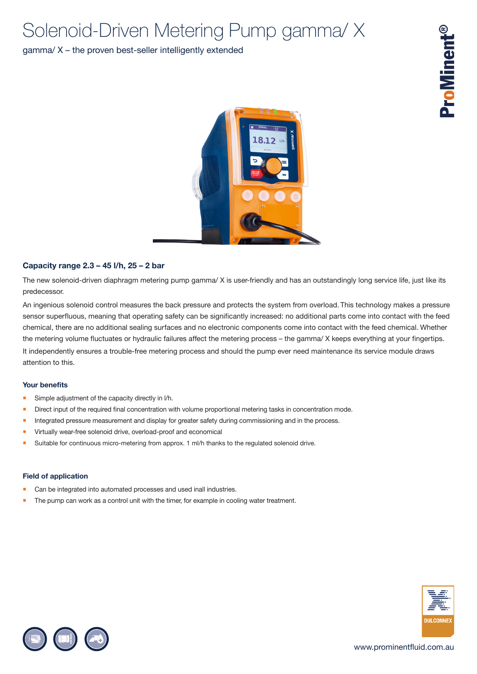# Solenoid-Driven Metering Pump gamma/ X

## gamma/ X – the proven best-seller intelligently extended



### **Capacity range 2.3 – 45 l/h, 25 – 2 bar**

The new solenoid-driven diaphragm metering pump gamma/ X is user-friendly and has an outstandingly long service life, just like its predecessor.

An ingenious solenoid control measures the back pressure and protects the system from overload. This technology makes a pressure sensor superfluous, meaning that operating safety can be significantly increased: no additional parts come into contact with the feed chemical, there are no additional sealing surfaces and no electronic components come into contact with the feed chemical. Whether the metering volume fluctuates or hydraulic failures affect the metering process – the gamma/ X keeps everything at your fingertips. It independently ensures a trouble-free metering process and should the pump ever need maintenance its service module draws attention to this.

### **Your benefits**

- Simple adjustment of the capacity directly in I/h.
- **Direct input of the required final concentration with volume proportional metering tasks in concentration mode.**
- Integrated pressure measurement and display for greater safety during commissioning and in the process.
- Virtually wear-free solenoid drive, overload-proof and economical
- Suitable for continuous micro-metering from approx. 1 ml/h thanks to the regulated solenoid drive.

### **Field of application**

- Can be integrated into automated processes and used inall industries.
- The pump can work as a control unit with the timer, for example in cooling water treatment.



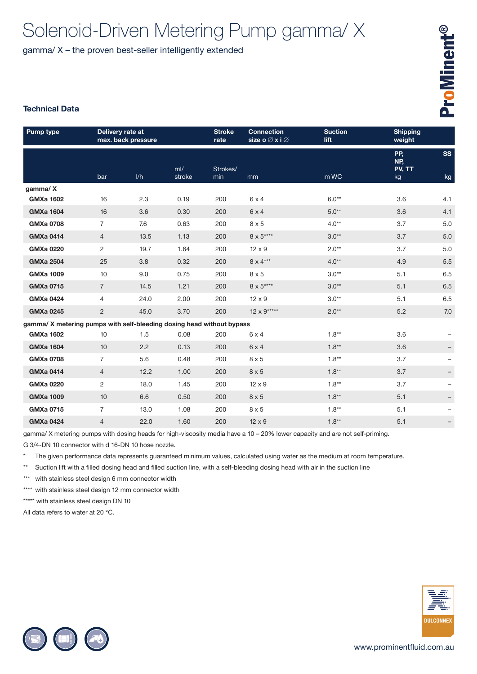# Solenoid-Driven Metering Pump gamma/ X

gamma/ X – the proven best-seller intelligently extended

## **Technical Data**

| <b>Pump type</b>                                                      | Delivery rate at<br>max. back pressure |      |             | <b>Stroke</b><br>rate | <b>Connection</b><br>size o⊘x i⊘ | <b>Suction</b><br>lift | <b>Shipping</b><br>weight  |                 |
|-----------------------------------------------------------------------|----------------------------------------|------|-------------|-----------------------|----------------------------------|------------------------|----------------------------|-----------------|
|                                                                       | bar                                    | 1/h  | m<br>stroke | Strokes/<br>min       | mm                               | m WC                   | PP.<br>NP,<br>PV, TT<br>kg | <b>SS</b><br>kg |
| gamma/X                                                               |                                        |      |             |                       |                                  |                        |                            |                 |
| <b>GMXa 1602</b>                                                      | 16                                     | 2.3  | 0.19        | 200                   | $6 \times 4$                     | $6.0**$                | 3.6                        | 4.1             |
| <b>GMXa 1604</b>                                                      | 16                                     | 3.6  | 0.30        | 200                   | $6 \times 4$                     | $5.0**$                | 3.6                        | 4.1             |
| <b>GMXa 0708</b>                                                      | $\overline{7}$                         | 7.6  | 0.63        | 200                   | $8 \times 5$                     | $4.0**$                | 3.7                        | 5.0             |
| <b>GMXa 0414</b>                                                      | $\overline{4}$                         | 13.5 | 1.13        | 200                   | $8 \times 5***$                  | $3.0**$                | 3.7                        | 5.0             |
| <b>GMXa 0220</b>                                                      | 2                                      | 19.7 | 1.64        | 200                   | $12 \times 9$                    | $2.0**$                | 3.7                        | 5.0             |
| <b>GMXa 2504</b>                                                      | 25                                     | 3.8  | 0.32        | 200                   | $8 \times 4***$                  | $4.0**$                | 4.9                        | 5.5             |
| <b>GMXa 1009</b>                                                      | 10                                     | 9.0  | 0.75        | 200                   | $8 \times 5$                     | $3.0**$                | 5.1                        | 6.5             |
| <b>GMXa 0715</b>                                                      | $\overline{7}$                         | 14.5 | 1.21        | 200                   | $8\times5***$                    | $3.0**$                | 5.1                        | 6.5             |
| <b>GMXa 0424</b>                                                      | 4                                      | 24.0 | 2.00        | 200                   | $12 \times 9$                    | $3.0**$                | 5.1                        | 6.5             |
| <b>GMXa 0245</b>                                                      | $\overline{2}$                         | 45.0 | 3.70        | 200                   | $12 \times 9$ *****              | $2.0**$                | 5.2                        | 7.0             |
| gamma/ X metering pumps with self-bleeding dosing head without bypass |                                        |      |             |                       |                                  |                        |                            |                 |
| <b>GMXa 1602</b>                                                      | 10                                     | 1.5  | 0.08        | 200                   | $6 \times 4$                     | $1.8**$                | 3.6                        |                 |
| <b>GMXa 1604</b>                                                      | 10                                     | 2.2  | 0.13        | 200                   | $6 \times 4$                     | $1.8**$                | 3.6                        |                 |
| <b>GMXa 0708</b>                                                      | $\overline{7}$                         | 5.6  | 0.48        | 200                   | $8 \times 5$                     | $1.8**$                | 3.7                        |                 |
| <b>GMXa 0414</b>                                                      | $\overline{4}$                         | 12.2 | 1.00        | 200                   | $8 \times 5$                     | $1.8**$                | 3.7                        |                 |
| <b>GMXa 0220</b>                                                      | 2                                      | 18.0 | 1.45        | 200                   | $12 \times 9$                    | $1.8**$                | 3.7                        |                 |
| <b>GMXa 1009</b>                                                      | 10                                     | 6.6  | 0.50        | 200                   | $8 \times 5$                     | $1.8**$                | 5.1                        |                 |
| <b>GMXa 0715</b>                                                      | $\overline{7}$                         | 13.0 | 1.08        | 200                   | $8 \times 5$                     | $1.8**$                | 5.1                        |                 |
| <b>GMXa 0424</b>                                                      | 4                                      | 22.0 | 1.60        | 200                   | $12 \times 9$                    | $1.8**$                | 5.1                        | -               |

gamma/ X metering pumps with dosing heads for high-viscosity media have a 10 – 20% lower capacity and are not self-priming.

G 3/4-DN 10 connector with d 16-DN 10 hose nozzle.

\* The given performance data represents guaranteed minimum values, calculated using water as the medium at room temperature.

\*\* Suction lift with a filled dosing head and filled suction line, with a self-bleeding dosing head with air in the suction line

\*\*\* with stainless steel design 6 mm connector width

\*\*\*\* with stainless steel design 12 mm connector width

\*\*\*\*\* with stainless steel design DN 10

All data refers to water at 20 °C.